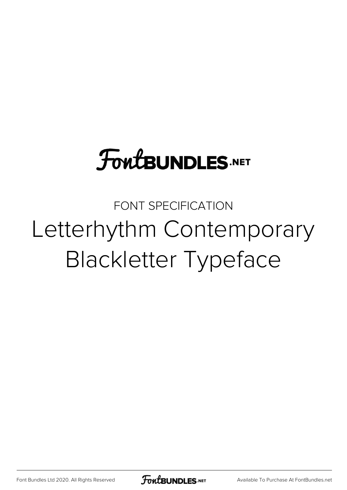# **FoutBUNDLES.NET**

FONT SPECIFICATION Letterhythm Contemporary Blackletter Typeface

[Font Bundles Ltd 2020. All Rights Reserved](https://fontbundles.net/) **FoutBUNDLES.NET** [Available To Purchase At FontBundles.net](https://fontbundles.net/)

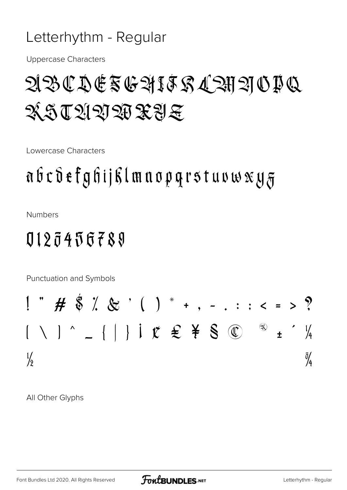### Letterhythm - Regular

**Uppercase Characters** 

# ABCDESGHIFRACHADIN XLANDRXYE

Lowercase Characters

# abcdefghijklmaopgrstuvwxy $g$

**Numbers** 

## 0123456789

Punctuation and Symbols

$$
1^{m}
$$
 #  $\$$   $\%$   $\%$   $\%$   $\%$   $\%$   $\%$   $\%$   $\%$   $\frac{1}{1}$   $\%$   $\#$   $\$$   $\$$   $\$$   $\$$   $\$$   $\$$   $\$$   $\$$   $\$$   $\$$   $\$$   $\$$   $\$$   $\$$   $\$$   $\$$   $\$$   $\$$   $\$$   $\$$   $\$$   $\$$   $\$$   $\$$   $\$$   $\$$   $\$$   $\$$   $\$$   $\$$   $\$$   $\$$   $\$$   $\$$   $\$$   $\$$   $\$$   $\$$   $\$$   $\$$   $\$$   $\$$   $\$$   $\$$   $\$$   $\$$   $\$$   $\$$   $\$$   $\$$   $\$$   $\$$   $\$$   $\$$   $\$$   $\$$   $\$$   $\$$   $\$$   $\$$   $\$$   $\$$   $\$$   $\$$   $\$$   $\$$   $\$$   $\$$   $\$$   $\$$   $\$$   $\$$   $\$$   $\$$   $\$$   $\$$   $\$$   $\$$   $\$$   $\$$   $\$$   $\$$   $\$$   $\$$   $\$$   $\$$   $\$$   $\$$   $\$$   $\$$   $\$$   $\$$   $\$$   $\$$   $\$$  

All Other Glyphs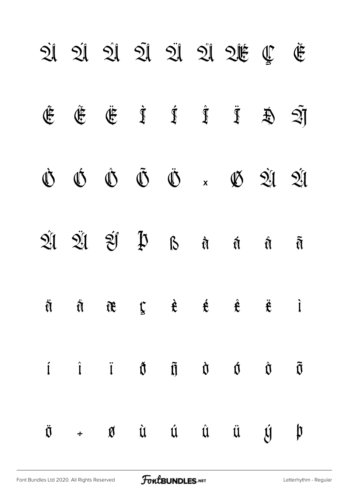|                    |  |  | 21 21 21 21 21 21 21 21 2                                                                                                                                                                                                                                                                                                                                                                                                                  |                                   | $\mathfrak{E}$ |
|--------------------|--|--|--------------------------------------------------------------------------------------------------------------------------------------------------------------------------------------------------------------------------------------------------------------------------------------------------------------------------------------------------------------------------------------------------------------------------------------------|-----------------------------------|----------------|
| $\hat{\mathbb{F}}$ |  |  | $\hat{\mathfrak{E}} \quad \  \  \, \hat{\mathfrak{E}} \qquad \  \  \, \hat{\mathfrak{I}} \qquad \  \  \, \hat{\mathfrak{I}} \qquad \  \  \, \hat{\mathfrak{I}} \qquad \  \  \, \hat{\mathfrak{Y}} \qquad \  \  \, \widehat{\mathfrak{QJ}}$                                                                                                                                                                                                 |                                   |                |
|                    |  |  | $\dot{\mathbb{O}} \quad \dot{\mathbb{O}} \quad \dot{\mathbb{O}} \quad \dot{\mathbb{O}} \quad \ddot{\mathbb{O}} \quad \dot{\mathbb{O}} \quad \times \quad \mathbb{O} \quad \dot{\mathfrak{A}} \quad \dot{\mathfrak{A}}$                                                                                                                                                                                                                     |                                   |                |
|                    |  |  | $2\hat{I}$ $2\hat{I}$ $2\hat{I}$ $2\hat{I}$ $1\hat{I}$ 13 $\hat{a}$ $\hat{a}$ $\hat{a}$ $\hat{a}$                                                                                                                                                                                                                                                                                                                                          |                                   |                |
|                    |  |  | $\ddot{\mathfrak{A}}\qquad\ddot{\mathfrak{A}}\qquad\ddot{\mathfrak{A}}\qquad\ddot{\mathfrak{X}}\qquad\ddot{\mathfrak{X}}\qquad\dot{\mathfrak{X}}\qquad\dot{\mathfrak{X}}\qquad\ddot{\mathfrak{X}}\qquad\ddot{\mathfrak{Y}}\qquad\ddot{\mathfrak{Y}}\qquad\ddot{\mathfrak{Y}}\qquad\ddot{\mathfrak{Y}}\qquad\ddot{\mathfrak{Y}}\qquad\ddot{\mathfrak{Y}}\qquad\ddot{\mathfrak{Y}}\qquad\ddot{\mathfrak{Y}}\qquad\ddot{\mathfrak{Y}}\qquad\$ |                                   |                |
|                    |  |  | $i$ $\hat{i}$ $\hat{J}$ $\hat{J}$ $\hat{J}$ $\hat{U}$ $\hat{U}$ $\hat{U}$ $\hat{U}$                                                                                                                                                                                                                                                                                                                                                        |                                   |                |
|                    |  |  | $\ddot{\mathfrak{g}} \quad \  \, \scriptstyle{\ast} \qquad \  \  \, \mathfrak{g} \qquad \  \, \dot{\mathfrak{u}} \qquad \  \, \dot{\mathfrak{u}} \qquad \  \, \dot{\mathfrak{u}} \qquad \  \, \ddot{\mathfrak{u}} \qquad \  \  \, \ddot{\mathfrak{u}}$                                                                                                                                                                                     | $\mathfrak{g} \quad \mathfrak{p}$ |                |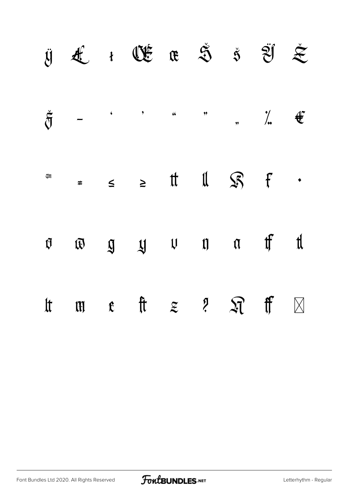|                    |        | $\ddot{\mathbf{y}}\quad \mathbf{t}\quad \mathbf{t}\quad \mathbf{t}\quad \mathbf{t}\quad \mathbf{t}\quad \mathbf{t}\quad \mathbf{t}\quad \mathbf{t}\quad \mathbf{t}\quad \mathbf{t}\quad \mathbf{t}\quad \mathbf{t}\quad \mathbf{t}\quad \mathbf{t}\quad \mathbf{t}\quad \mathbf{t}\quad \mathbf{t}\quad \mathbf{t}\quad \mathbf{t}\quad \mathbf{t}\quad \mathbf{t}\quad \mathbf{t}\quad \mathbf{t}\quad \mathbf{t}\quad \mathbf{t}\quad \mathbf{t}\quad \mathbf{t}\quad \mathbf{t}\quad \mathbf{t}\quad \mathbf{t}\$ |  |  |             |
|--------------------|--------|----------------------------------------------------------------------------------------------------------------------------------------------------------------------------------------------------------------------------------------------------------------------------------------------------------------------------------------------------------------------------------------------------------------------------------------------------------------------------------------------------------------------|--|--|-------------|
| $\check{\eth}$     |        | $\begin{array}{cccccccccccccc} - & & \cdot & & \cdot & & \cdot & & \cdots & & \cdots & & \cdots & & \cdots & & \end{array}$                                                                                                                                                                                                                                                                                                                                                                                          |  |  |             |
| (U                 | $\neq$ | $\leq$ $\geq$ tt 11 $\mathcal{S}$ f $\cdot$                                                                                                                                                                                                                                                                                                                                                                                                                                                                          |  |  |             |
| $\mathfrak{g}$     |        | $\overline{\omega}$ $\overline{\omega}$ $\overline{\omega}$ $\omega$ $\omega$ $\pi$ $\pi$ $\pi$                                                                                                                                                                                                                                                                                                                                                                                                                      |  |  |             |
| $\operatorname{t}$ |        | $\begin{array}{cccccccccccccc} \text{III} & \text{t} & \text{t} & \text{t} & \text{z} & \text{t} & \text{t} & \text{t} & \text{t} & \text{t} & \text{t} & \text{t} & \text{t} & \text{t} & \text{t} & \text{t} & \text{t} & \text{t} & \text{t} & \text{t} & \text{t} & \text{t} & \text{t} & \text{t} & \text{t} & \text{t} & \text{t} & \text{t} & \text{t} & \text{t} & \text{t} & \text{t} & \text{t} & \text{t} & \text{t} &$                                                                                   |  |  | $\boxtimes$ |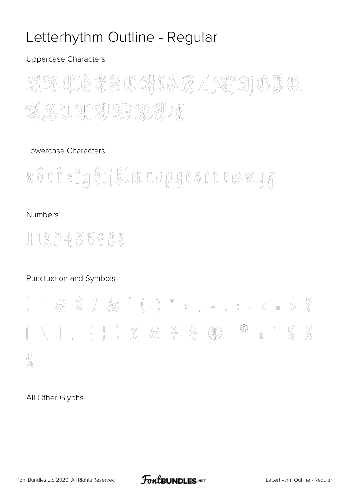### Letterhythm Outline - Regular

#### **Uppercase Characters**



#### Lowercase Characters

abcdefghijßlmaopgrstuvwxyz

#### **Numbers**

## 0125456789

#### Punctuation and Symbols



#### All Other Glyphs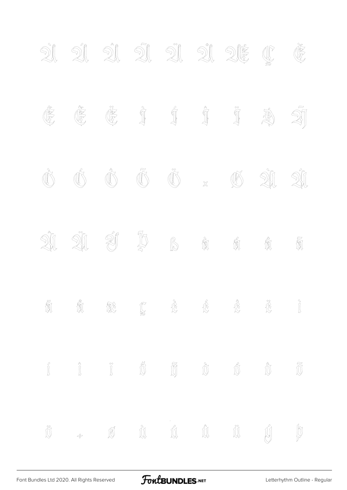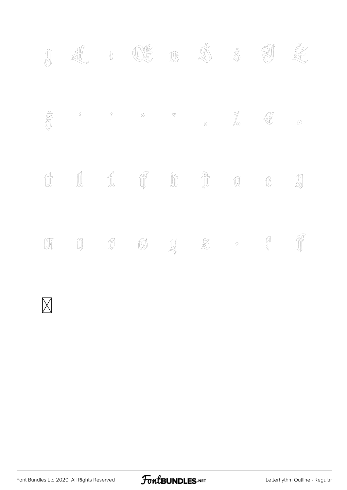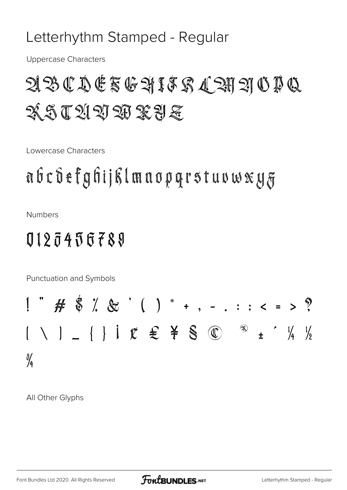### Letterhythm Stamped - Regular

**Uppercase Characters** 

# $\mathfrak{A}\mathfrak{B}\mathfrak{C}\mathfrak{D}\mathfrak{C}\mathfrak{F}\mathfrak{G}\mathfrak{A}\mathbf{1}\mathfrak{F}\mathfrak{C}\mathfrak{A}\mathfrak{C} \mathfrak{A}\mathfrak{B}\mathfrak{A}\mathfrak{O}\mathfrak{D}\mathfrak{C}$ XQQQQDAXYE

Lowercase Characters

# abcdefghijklmaopgrstuvwxyz

**Numbers** 

## 0123456789

Punctuation and Symbols

$$
1^{m}
$$
 # \$ $\frac{1}{6}$  %  $\frac{1}{6}$  %  $\frac{1}{6}$  %  $\frac{1}{6}$  %  $\frac{1}{4}$  %  $\frac{1}{4}$  %  $\frac{1}{4}$  %  $\frac{1}{4}$  %  $\frac{1}{4}$  %  $\frac{1}{4}$  %  $\frac{1}{4}$  %  $\frac{1}{4}$  %  $\frac{1}{4}$  %  $\frac{1}{4}$  %  $\frac{1}{4}$  %  $\frac{1}{4}$  %  $\frac{1}{4}$  %  $\frac{1}{4}$  %  $\frac{1}{4}$  %  $\frac{1}{4}$  %  $\frac{1}{4}$  %  $\frac{1}{4}$  %  $\frac{1}{4}$  %  $\frac{1}{4}$  %  $\frac{1}{4}$  %  $\frac{1}{4}$  %  $\frac{1}{4}$  %  $\frac{1}{4}$  %  $\frac{1}{4}$  %  $\frac{1}{4}$  %  $\frac{1}{4}$  %  $\frac{1}{4}$  %  $\frac{1}{4}$  %  $\frac{1}{4}$  %  $\frac{1}{4}$  %  $\frac{1}{4}$  %  $\frac{1}{4}$  %  $\frac{1}{4}$  %  $\frac{1}{4}$  %  $\frac{1}{4}$  %  $\frac{1}{4}$  %  $\frac{1}{4}$  %  $\frac{1}{4}$  %  $\frac{1}{4}$  %  $\frac{1}{4}$  %  $\frac{1}{4}$  %  $\frac{1}{4}$  %  $\frac{1}{4}$  %  $\frac{1}{4}$  %  $\frac{1}{4}$  %  $\frac{1}{4}$  %  $\frac{1}{4}$  %  $\frac{1}{4}$  %  $\frac{1}{4}$  %  $\frac{1}{4}$  %  $\frac{1}{4}$  %  $\frac{1}{4}$  %  $\frac{1}{4}$  %  $\frac{1}{4}$  %  $\frac{1}{4}$  %  $\frac{1}{4}$  %  $\frac{1}{4}$  %  $\frac{1}{4}$ 

All Other Glyphs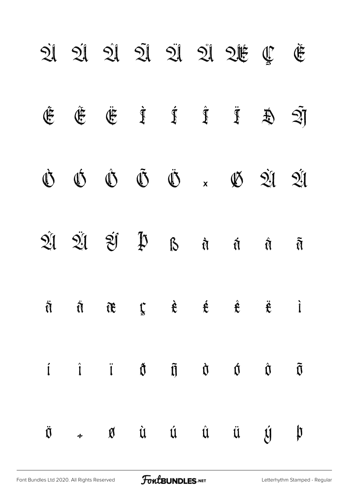